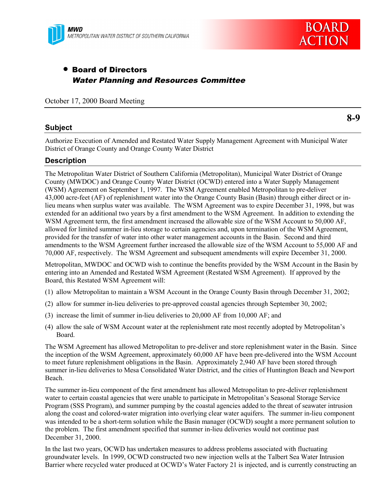



# • Board of Directors Water Planning and Resources Committee

October 17, 2000 Board Meeting

## **Subject**

**8-9**

Authorize Execution of Amended and Restated Water Supply Management Agreement with Municipal Water District of Orange County and Orange County Water District

### **Description**

The Metropolitan Water District of Southern California (Metropolitan), Municipal Water District of Orange County (MWDOC) and Orange County Water District (OCWD) entered into a Water Supply Management (WSM) Agreement on September 1, 1997. The WSM Agreement enabled Metropolitan to pre-deliver 43,000 acre-feet (AF) of replenishment water into the Orange County Basin (Basin) through either direct or inlieu means when surplus water was available. The WSM Agreement was to expire December 31, 1998, but was extended for an additional two years by a first amendment to the WSM Agreement. In addition to extending the WSM Agreement term, the first amendment increased the allowable size of the WSM Account to 50,000 AF, allowed for limited summer in-lieu storage to certain agencies and, upon termination of the WSM Agreement, provided for the transfer of water into other water management accounts in the Basin. Second and third amendments to the WSM Agreement further increased the allowable size of the WSM Account to 55,000 AF and 70,000 AF, respectively. The WSM Agreement and subsequent amendments will expire December 31, 2000.

Metropolitan, MWDOC and OCWD wish to continue the benefits provided by the WSM Account in the Basin by entering into an Amended and Restated WSM Agreement (Restated WSM Agreement). If approved by the Board, this Restated WSM Agreement will:

- (1) allow Metropolitan to maintain a WSM Account in the Orange County Basin through December 31, 2002;
- (2) allow for summer in-lieu deliveries to pre-approved coastal agencies through September 30, 2002;
- (3) increase the limit of summer in-lieu deliveries to 20,000 AF from 10,000 AF; and
- (4) allow the sale of WSM Account water at the replenishment rate most recently adopted by Metropolitan's Board.

The WSM Agreement has allowed Metropolitan to pre-deliver and store replenishment water in the Basin. Since the inception of the WSM Agreement, approximately 60,000 AF have been pre-delivered into the WSM Account to meet future replenishment obligations in the Basin. Approximately 2,940 AF have been stored through summer in-lieu deliveries to Mesa Consolidated Water District, and the cities of Huntington Beach and Newport Beach.

The summer in-lieu component of the first amendment has allowed Metropolitan to pre-deliver replenishment water to certain coastal agencies that were unable to participate in Metropolitan's Seasonal Storage Service Program (SSS Program), and summer pumping by the coastal agencies added to the threat of seawater intrusion along the coast and colored-water migration into overlying clear water aquifers. The summer in-lieu component was intended to be a short-term solution while the Basin manager (OCWD) sought a more permanent solution to the problem. The first amendment specified that summer in-lieu deliveries would not continue past December 31, 2000.

In the last two years, OCWD has undertaken measures to address problems associated with fluctuating groundwater levels. In 1999, OCWD constructed two new injection wells at the Talbert Sea Water Intrusion Barrier where recycled water produced at OCWD's Water Factory 21 is injected, and is currently constructing an